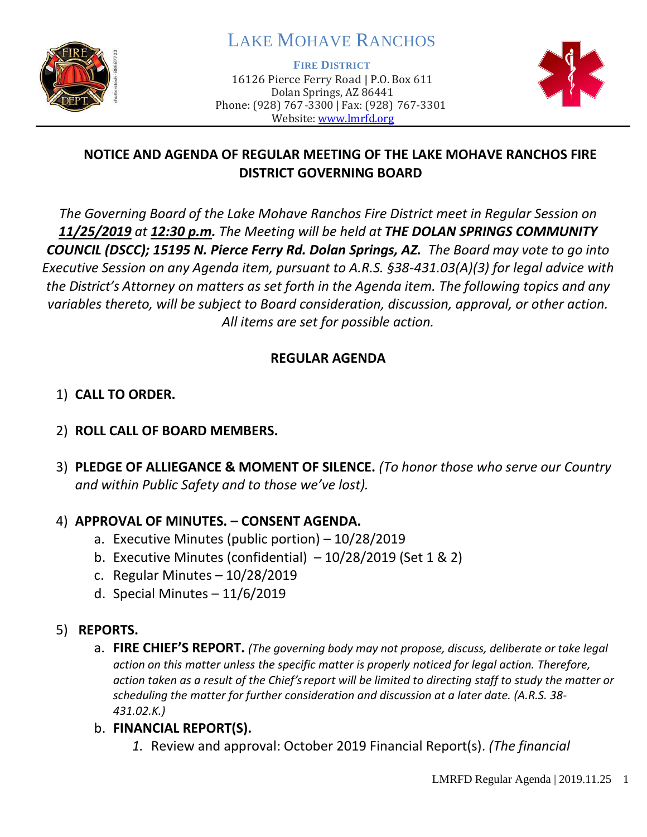

# LAKE MOHAVE RANCHOS

**FIRE DISTRICT**

16126 Pierce Ferry Road | P.O. Box 611 Dolan Springs, AZ 86441 Phone: (928) 767-3300 | Fax: (928) 767-3301 Website: [www.lmrfd.org](http://www.lmrfd.org/)



# **NOTICE AND AGENDA OF REGULAR MEETING OF THE LAKE MOHAVE RANCHOS FIRE DISTRICT GOVERNING BOARD**

*The Governing Board of the Lake Mohave Ranchos Fire District meet in Regular Session on 11/25/2019 at 12:30 p.m. The Meeting will be held at THE DOLAN SPRINGS COMMUNITY COUNCIL (DSCC); 15195 N. Pierce Ferry Rd. Dolan Springs, AZ. The Board may vote to go into Executive Session on any Agenda item, pursuant to A.R.S. §38-431.03(A)(3) for legal advice with the District's Attorney on matters as set forth in the Agenda item. The following topics and any variables thereto, will be subject to Board consideration, discussion, approval, or other action. All items are set for possible action.* 

### **REGULAR AGENDA**

# 1) **CALL TO ORDER.**

### 2) **ROLL CALL OF BOARD MEMBERS.**

3) **PLEDGE OF ALLIEGANCE & MOMENT OF SILENCE.** *(To honor those who serve our Country and within Public Safety and to those we've lost).*

### 4) **APPROVAL OF MINUTES. – CONSENT AGENDA.**

- a. Executive Minutes (public portion) 10/28/2019
- b. Executive Minutes (confidential)  $-10/28/2019$  (Set 1 & 2)
- c. Regular Minutes 10/28/2019
- d. Special Minutes 11/6/2019

# 5) **REPORTS.**

- a. **FIRE CHIEF'S REPORT.** *(The governing body may not propose, discuss, deliberate or take legal action on this matter unless the specific matter is properly noticed for legal action. Therefore, action taken as a result of the Chief's report will be limited to directing staff to study the matter or scheduling the matter for further consideration and discussion at a later date. (A.R.S. 38- 431.02.K.)*
- b. **FINANCIAL REPORT(S).**
	- *1.* Review and approval: October 2019 Financial Report(s). *(The financial*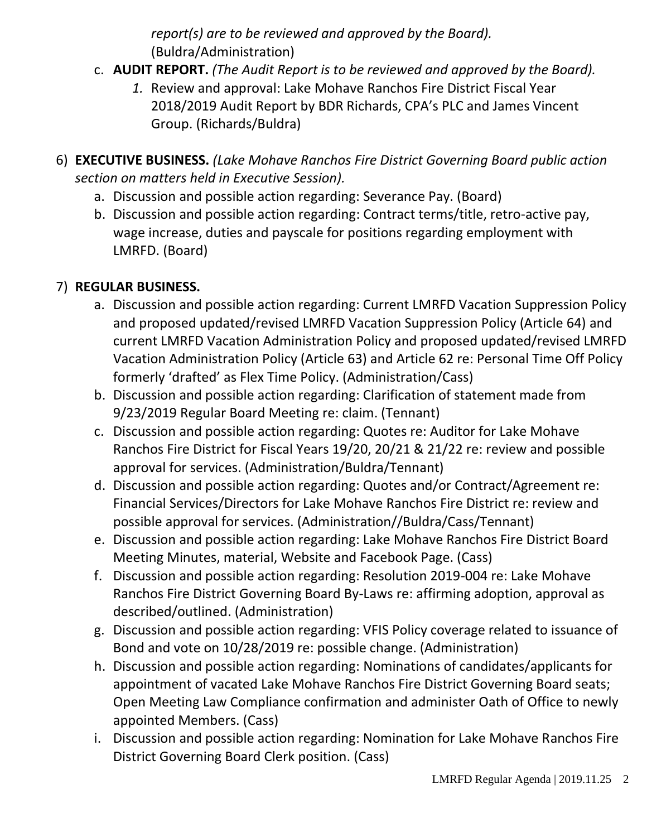*report(s) are to be reviewed and approved by the Board).* (Buldra/Administration)

- c. **AUDIT REPORT.** *(The Audit Report is to be reviewed and approved by the Board).* 
	- *1.* Review and approval: Lake Mohave Ranchos Fire District Fiscal Year 2018/2019 Audit Report by BDR Richards, CPA's PLC and James Vincent Group. (Richards/Buldra)
- 6) **EXECUTIVE BUSINESS.** *(Lake Mohave Ranchos Fire District Governing Board public action section on matters held in Executive Session).*
	- a. Discussion and possible action regarding: Severance Pay. (Board)
	- b. Discussion and possible action regarding: Contract terms/title, retro-active pay, wage increase, duties and payscale for positions regarding employment with LMRFD. (Board)

# 7) **REGULAR BUSINESS.**

- a. Discussion and possible action regarding: Current LMRFD Vacation Suppression Policy and proposed updated/revised LMRFD Vacation Suppression Policy (Article 64) and current LMRFD Vacation Administration Policy and proposed updated/revised LMRFD Vacation Administration Policy (Article 63) and Article 62 re: Personal Time Off Policy formerly 'drafted' as Flex Time Policy. (Administration/Cass)
- b. Discussion and possible action regarding: Clarification of statement made from 9/23/2019 Regular Board Meeting re: claim. (Tennant)
- c. Discussion and possible action regarding: Quotes re: Auditor for Lake Mohave Ranchos Fire District for Fiscal Years 19/20, 20/21 & 21/22 re: review and possible approval for services. (Administration/Buldra/Tennant)
- d. Discussion and possible action regarding: Quotes and/or Contract/Agreement re: Financial Services/Directors for Lake Mohave Ranchos Fire District re: review and possible approval for services. (Administration//Buldra/Cass/Tennant)
- e. Discussion and possible action regarding: Lake Mohave Ranchos Fire District Board Meeting Minutes, material, Website and Facebook Page. (Cass)
- f. Discussion and possible action regarding: Resolution 2019-004 re: Lake Mohave Ranchos Fire District Governing Board By-Laws re: affirming adoption, approval as described/outlined. (Administration)
- g. Discussion and possible action regarding: VFIS Policy coverage related to issuance of Bond and vote on 10/28/2019 re: possible change. (Administration)
- h. Discussion and possible action regarding: Nominations of candidates/applicants for appointment of vacated Lake Mohave Ranchos Fire District Governing Board seats; Open Meeting Law Compliance confirmation and administer Oath of Office to newly appointed Members. (Cass)
- i. Discussion and possible action regarding: Nomination for Lake Mohave Ranchos Fire District Governing Board Clerk position. (Cass)